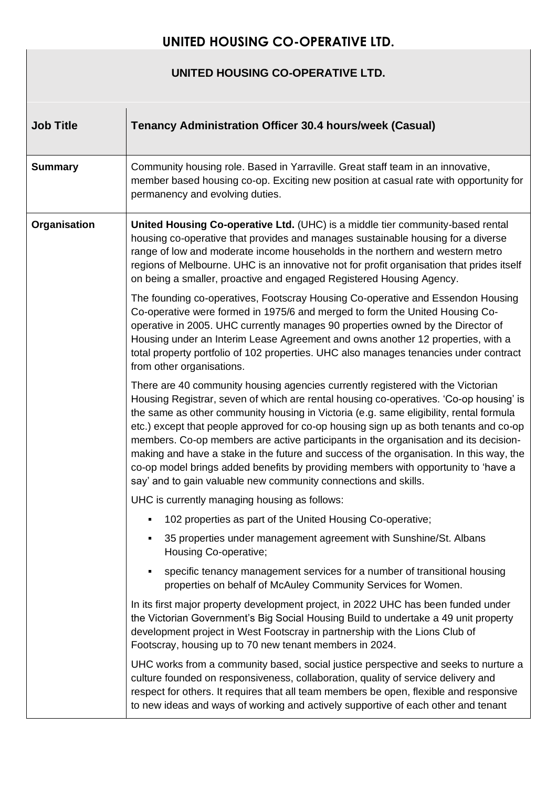**UNITED HOUSING CO-OPERATIVE LTD.**

| <b>Job Title</b> | <b>Tenancy Administration Officer 30.4 hours/week (Casual)</b>                                                                                                                                                                                                                                                                                                                                                                                                                                                                                                                                                                                                                                           |
|------------------|----------------------------------------------------------------------------------------------------------------------------------------------------------------------------------------------------------------------------------------------------------------------------------------------------------------------------------------------------------------------------------------------------------------------------------------------------------------------------------------------------------------------------------------------------------------------------------------------------------------------------------------------------------------------------------------------------------|
| <b>Summary</b>   | Community housing role. Based in Yarraville. Great staff team in an innovative,<br>member based housing co-op. Exciting new position at casual rate with opportunity for<br>permanency and evolving duties.                                                                                                                                                                                                                                                                                                                                                                                                                                                                                              |
| Organisation     | United Housing Co-operative Ltd. (UHC) is a middle tier community-based rental<br>housing co-operative that provides and manages sustainable housing for a diverse<br>range of low and moderate income households in the northern and western metro<br>regions of Melbourne. UHC is an innovative not for profit organisation that prides itself<br>on being a smaller, proactive and engaged Registered Housing Agency.                                                                                                                                                                                                                                                                                 |
|                  | The founding co-operatives, Footscray Housing Co-operative and Essendon Housing<br>Co-operative were formed in 1975/6 and merged to form the United Housing Co-<br>operative in 2005. UHC currently manages 90 properties owned by the Director of<br>Housing under an Interim Lease Agreement and owns another 12 properties, with a<br>total property portfolio of 102 properties. UHC also manages tenancies under contract<br>from other organisations.                                                                                                                                                                                                                                              |
|                  | There are 40 community housing agencies currently registered with the Victorian<br>Housing Registrar, seven of which are rental housing co-operatives. 'Co-op housing' is<br>the same as other community housing in Victoria (e.g. same eligibility, rental formula<br>etc.) except that people approved for co-op housing sign up as both tenants and co-op<br>members. Co-op members are active participants in the organisation and its decision-<br>making and have a stake in the future and success of the organisation. In this way, the<br>co-op model brings added benefits by providing members with opportunity to 'have a<br>say' and to gain valuable new community connections and skills. |
|                  | UHC is currently managing housing as follows:                                                                                                                                                                                                                                                                                                                                                                                                                                                                                                                                                                                                                                                            |
|                  | 102 properties as part of the United Housing Co-operative;                                                                                                                                                                                                                                                                                                                                                                                                                                                                                                                                                                                                                                               |
|                  | 35 properties under management agreement with Sunshine/St. Albans<br>٠<br>Housing Co-operative;                                                                                                                                                                                                                                                                                                                                                                                                                                                                                                                                                                                                          |
|                  | specific tenancy management services for a number of transitional housing<br>properties on behalf of McAuley Community Services for Women.                                                                                                                                                                                                                                                                                                                                                                                                                                                                                                                                                               |
|                  | In its first major property development project, in 2022 UHC has been funded under<br>the Victorian Government's Big Social Housing Build to undertake a 49 unit property<br>development project in West Footscray in partnership with the Lions Club of<br>Footscray, housing up to 70 new tenant members in 2024.                                                                                                                                                                                                                                                                                                                                                                                      |
|                  | UHC works from a community based, social justice perspective and seeks to nurture a<br>culture founded on responsiveness, collaboration, quality of service delivery and<br>respect for others. It requires that all team members be open, flexible and responsive<br>to new ideas and ways of working and actively supportive of each other and tenant                                                                                                                                                                                                                                                                                                                                                  |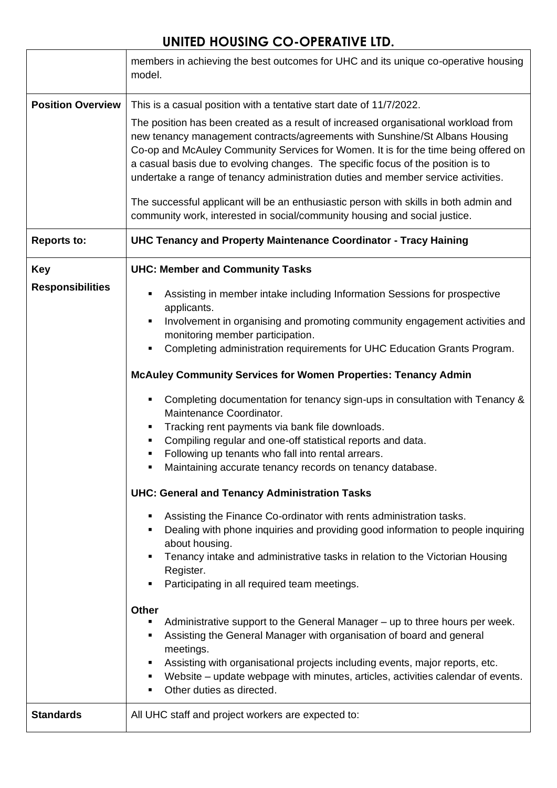|                          | members in achieving the best outcomes for UHC and its unique co-operative housing<br>model.                                                                                                                                                                                                                                                                                                                                                                                                                                |
|--------------------------|-----------------------------------------------------------------------------------------------------------------------------------------------------------------------------------------------------------------------------------------------------------------------------------------------------------------------------------------------------------------------------------------------------------------------------------------------------------------------------------------------------------------------------|
| <b>Position Overview</b> | This is a casual position with a tentative start date of 11/7/2022.                                                                                                                                                                                                                                                                                                                                                                                                                                                         |
|                          | The position has been created as a result of increased organisational workload from<br>new tenancy management contracts/agreements with Sunshine/St Albans Housing<br>Co-op and McAuley Community Services for Women. It is for the time being offered on<br>a casual basis due to evolving changes. The specific focus of the position is to<br>undertake a range of tenancy administration duties and member service activities.<br>The successful applicant will be an enthusiastic person with skills in both admin and |
|                          | community work, interested in social/community housing and social justice.                                                                                                                                                                                                                                                                                                                                                                                                                                                  |
| <b>Reports to:</b>       | <b>UHC Tenancy and Property Maintenance Coordinator - Tracy Haining</b>                                                                                                                                                                                                                                                                                                                                                                                                                                                     |
| <b>Key</b>               | <b>UHC: Member and Community Tasks</b>                                                                                                                                                                                                                                                                                                                                                                                                                                                                                      |
| <b>Responsibilities</b>  | Assisting in member intake including Information Sessions for prospective<br>applicants.                                                                                                                                                                                                                                                                                                                                                                                                                                    |
|                          | Involvement in organising and promoting community engagement activities and<br>٠<br>monitoring member participation.                                                                                                                                                                                                                                                                                                                                                                                                        |
|                          | Completing administration requirements for UHC Education Grants Program.<br>$\blacksquare$                                                                                                                                                                                                                                                                                                                                                                                                                                  |
|                          | <b>McAuley Community Services for Women Properties: Tenancy Admin</b>                                                                                                                                                                                                                                                                                                                                                                                                                                                       |
|                          | Completing documentation for tenancy sign-ups in consultation with Tenancy &<br>٠<br>Maintenance Coordinator.                                                                                                                                                                                                                                                                                                                                                                                                               |
|                          | Tracking rent payments via bank file downloads.<br>٠<br>Compiling regular and one-off statistical reports and data.<br>٠                                                                                                                                                                                                                                                                                                                                                                                                    |
|                          | Following up tenants who fall into rental arrears.                                                                                                                                                                                                                                                                                                                                                                                                                                                                          |
|                          | Maintaining accurate tenancy records on tenancy database.<br>٠                                                                                                                                                                                                                                                                                                                                                                                                                                                              |
|                          | <b>UHC: General and Tenancy Administration Tasks</b>                                                                                                                                                                                                                                                                                                                                                                                                                                                                        |
|                          | Assisting the Finance Co-ordinator with rents administration tasks.<br>٠<br>Dealing with phone inquiries and providing good information to people inquiring<br>٠<br>about housing.                                                                                                                                                                                                                                                                                                                                          |
|                          | Tenancy intake and administrative tasks in relation to the Victorian Housing<br>٠<br>Register.<br>Participating in all required team meetings.<br>٠                                                                                                                                                                                                                                                                                                                                                                         |
|                          |                                                                                                                                                                                                                                                                                                                                                                                                                                                                                                                             |
|                          | <b>Other</b><br>Administrative support to the General Manager – up to three hours per week.<br>٠<br>Assisting the General Manager with organisation of board and general<br>٠<br>meetings.<br>Assisting with organisational projects including events, major reports, etc.<br>٠<br>Website – update webpage with minutes, articles, activities calendar of events.<br>٠                                                                                                                                                     |
|                          | Other duties as directed.<br>٠                                                                                                                                                                                                                                                                                                                                                                                                                                                                                              |
| <b>Standards</b>         | All UHC staff and project workers are expected to:                                                                                                                                                                                                                                                                                                                                                                                                                                                                          |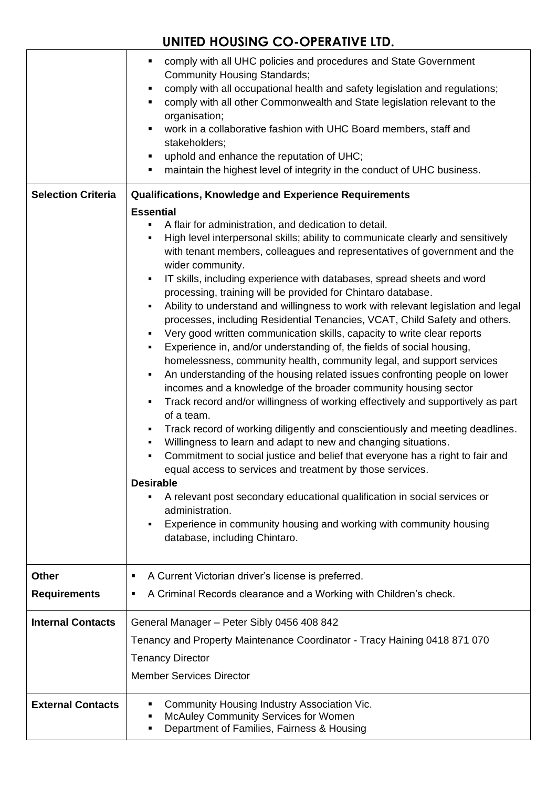|                           | comply with all UHC policies and procedures and State Government<br>$\blacksquare$<br><b>Community Housing Standards;</b><br>comply with all occupational health and safety legislation and regulations;<br>٠<br>comply with all other Commonwealth and State legislation relevant to the<br>٠<br>organisation;<br>work in a collaborative fashion with UHC Board members, staff and<br>٠<br>stakeholders;<br>uphold and enhance the reputation of UHC;<br>٠<br>maintain the highest level of integrity in the conduct of UHC business.<br>٠                                                                                                                                                                                                                                                                                                                                                                                                                                                                                                                                                                                                                                                                                                                                                                                                                                                                                                                                                                                                                                                                                                      |
|---------------------------|---------------------------------------------------------------------------------------------------------------------------------------------------------------------------------------------------------------------------------------------------------------------------------------------------------------------------------------------------------------------------------------------------------------------------------------------------------------------------------------------------------------------------------------------------------------------------------------------------------------------------------------------------------------------------------------------------------------------------------------------------------------------------------------------------------------------------------------------------------------------------------------------------------------------------------------------------------------------------------------------------------------------------------------------------------------------------------------------------------------------------------------------------------------------------------------------------------------------------------------------------------------------------------------------------------------------------------------------------------------------------------------------------------------------------------------------------------------------------------------------------------------------------------------------------------------------------------------------------------------------------------------------------|
| <b>Selection Criteria</b> | <b>Qualifications, Knowledge and Experience Requirements</b>                                                                                                                                                                                                                                                                                                                                                                                                                                                                                                                                                                                                                                                                                                                                                                                                                                                                                                                                                                                                                                                                                                                                                                                                                                                                                                                                                                                                                                                                                                                                                                                      |
|                           | <b>Essential</b><br>A flair for administration, and dedication to detail.<br>High level interpersonal skills; ability to communicate clearly and sensitively<br>٠<br>with tenant members, colleagues and representatives of government and the<br>wider community.<br>IT skills, including experience with databases, spread sheets and word<br>٠<br>processing, training will be provided for Chintaro database.<br>Ability to understand and willingness to work with relevant legislation and legal<br>٠<br>processes, including Residential Tenancies, VCAT, Child Safety and others.<br>Very good written communication skills, capacity to write clear reports<br>٠<br>Experience in, and/or understanding of, the fields of social housing,<br>٠<br>homelessness, community health, community legal, and support services<br>An understanding of the housing related issues confronting people on lower<br>٠<br>incomes and a knowledge of the broader community housing sector<br>Track record and/or willingness of working effectively and supportively as part<br>٠<br>of a team.<br>Track record of working diligently and conscientiously and meeting deadlines.<br>٠<br>Willingness to learn and adapt to new and changing situations.<br>٠<br>Commitment to social justice and belief that everyone has a right to fair and<br>٠<br>equal access to services and treatment by those services.<br><b>Desirable</b><br>A relevant post secondary educational qualification in social services or<br>٠<br>administration.<br>Experience in community housing and working with community housing<br>٠<br>database, including Chintaro. |
| <b>Other</b>              | A Current Victorian driver's license is preferred.<br>٠                                                                                                                                                                                                                                                                                                                                                                                                                                                                                                                                                                                                                                                                                                                                                                                                                                                                                                                                                                                                                                                                                                                                                                                                                                                                                                                                                                                                                                                                                                                                                                                           |
| <b>Requirements</b>       | A Criminal Records clearance and a Working with Children's check.<br>٠                                                                                                                                                                                                                                                                                                                                                                                                                                                                                                                                                                                                                                                                                                                                                                                                                                                                                                                                                                                                                                                                                                                                                                                                                                                                                                                                                                                                                                                                                                                                                                            |
| <b>Internal Contacts</b>  | General Manager - Peter Sibly 0456 408 842                                                                                                                                                                                                                                                                                                                                                                                                                                                                                                                                                                                                                                                                                                                                                                                                                                                                                                                                                                                                                                                                                                                                                                                                                                                                                                                                                                                                                                                                                                                                                                                                        |
|                           | Tenancy and Property Maintenance Coordinator - Tracy Haining 0418 871 070                                                                                                                                                                                                                                                                                                                                                                                                                                                                                                                                                                                                                                                                                                                                                                                                                                                                                                                                                                                                                                                                                                                                                                                                                                                                                                                                                                                                                                                                                                                                                                         |
|                           | <b>Tenancy Director</b><br><b>Member Services Director</b>                                                                                                                                                                                                                                                                                                                                                                                                                                                                                                                                                                                                                                                                                                                                                                                                                                                                                                                                                                                                                                                                                                                                                                                                                                                                                                                                                                                                                                                                                                                                                                                        |
|                           |                                                                                                                                                                                                                                                                                                                                                                                                                                                                                                                                                                                                                                                                                                                                                                                                                                                                                                                                                                                                                                                                                                                                                                                                                                                                                                                                                                                                                                                                                                                                                                                                                                                   |
| <b>External Contacts</b>  | Community Housing Industry Association Vic.<br>٠<br>McAuley Community Services for Women<br>٠<br>Department of Families, Fairness & Housing<br>٠                                                                                                                                                                                                                                                                                                                                                                                                                                                                                                                                                                                                                                                                                                                                                                                                                                                                                                                                                                                                                                                                                                                                                                                                                                                                                                                                                                                                                                                                                                  |